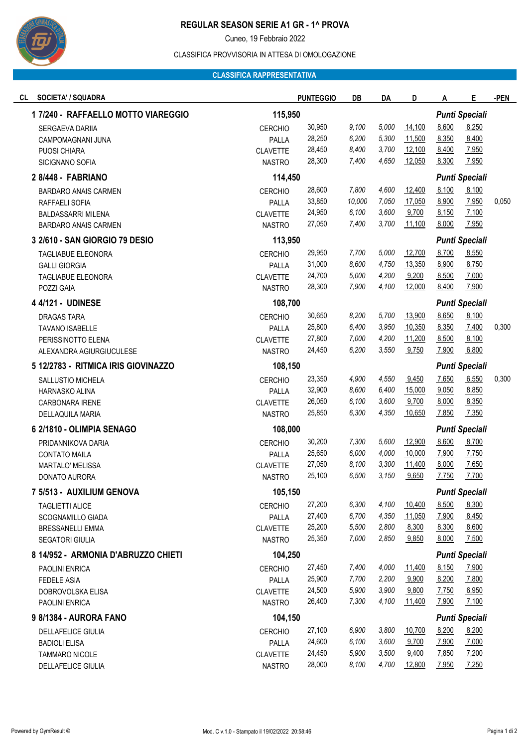

# **REGULAR SEASON SERIE A1 GR - 1^ PROVA**

Cuneo, 19 Febbraio 2022

#### CLASSIFICA PROVVISORIA IN ATTESA DI OMOLOGAZIONE

## **CLASSIFICA RAPPRESENTATIVA**

| <b>SOCIETA' / SQUADRA</b><br>CL     |                 | <b>PUNTEGGIO</b> | DB     | DA    | D                     | Α                     | Е                     | -PEN  |
|-------------------------------------|-----------------|------------------|--------|-------|-----------------------|-----------------------|-----------------------|-------|
| 1 7/240 - RAFFAELLO MOTTO VIAREGGIO | 115,950         |                  |        |       |                       |                       | <b>Punti Speciali</b> |       |
| SERGAEVA DARIIA                     | <b>CERCHIO</b>  | 30,950           | 9,100  | 5,000 | 14,100                | 8,600                 | 8,250                 |       |
| CAMPOMAGNANI JUNA                   | PALLA           | 28,250           | 6,200  | 5,300 | 11,500                | 8,350                 | 8,400                 |       |
| PUOSI CHIARA                        | <b>CLAVETTE</b> | 28,450           | 8,400  | 3,700 | 12,100                | 8,400                 | 7,950                 |       |
| SICIGNANO SOFIA                     | <b>NASTRO</b>   | 28,300           | 7,400  | 4,650 | 12,050                | 8,300                 | 7,950                 |       |
| 2 8/448 - FABRIANO                  | 114,450         |                  |        |       |                       |                       | <b>Punti Speciali</b> |       |
| <b>BARDARO ANAIS CARMEN</b>         | <b>CERCHIO</b>  | 28,600           | 7,800  | 4,600 | 12,400                | 8,100                 | 8,100                 |       |
| RAFFAELI SOFIA                      | PALLA           | 33,850           | 10,000 | 7,050 | 17,050                | 8,900                 | 7,950                 | 0,050 |
| <b>BALDASSARRI MILENA</b>           | <b>CLAVETTE</b> | 24,950           | 6,100  | 3,600 | 9,700                 | 8,150                 | 7,100                 |       |
| <b>BARDARO ANAIS CARMEN</b>         | <b>NASTRO</b>   | 27,050           | 7,400  | 3,700 | 11,100                | 8,000                 | 7,950                 |       |
| 3 2/610 - SAN GIORGIO 79 DESIO      | 113,950         |                  |        |       |                       | <b>Punti Speciali</b> |                       |       |
| TAGLIABUE ELEONORA                  | <b>CERCHIO</b>  | 29,950           | 7,700  | 5,000 | 12,700                | 8,700                 | 8,550                 |       |
| <b>GALLI GIORGIA</b>                | PALLA           | 31,000           | 8,600  | 4,750 | 13,350                | 8,900                 | 8,750                 |       |
| TAGLIABUE ELEONORA                  | <b>CLAVETTE</b> | 24,700           | 5,000  | 4,200 | 9,200                 | 8,500                 | 7,000                 |       |
| POZZI GAIA                          | <b>NASTRO</b>   | 28,300           | 7,900  | 4,100 | 12,000                | 8,400                 | 7,900                 |       |
| 4 4/121 - UDINESE                   | 108,700         |                  |        |       |                       | <b>Punti Speciali</b> |                       |       |
| <b>DRAGAS TARA</b>                  | <b>CERCHIO</b>  | 30,650           | 8,200  | 5,700 | 13,900                | 8,650                 | 8,100                 |       |
| <b>TAVANO ISABELLE</b>              | PALLA           | 25,800           | 6,400  | 3,950 | 10,350                | 8,350                 | 7,400                 | 0,300 |
| PERISSINOTTO ELENA                  | <b>CLAVETTE</b> | 27,800           | 7,000  | 4,200 | 11,200                | 8,500                 | 8,100                 |       |
| ALEXANDRA AGIURGIUCULESE            | <b>NASTRO</b>   | 24,450           | 6,200  | 3,550 | 9,750                 | 7,900                 | 6,800                 |       |
| 5 12/2783 - RITMICA IRIS GIOVINAZZO | 108,150         |                  |        |       |                       |                       | <b>Punti Speciali</b> |       |
| SALLUSTIO MICHELA                   | <b>CERCHIO</b>  | 23,350           | 4,900  | 4,550 | 9,450                 | 7,650                 | 6,550                 | 0,300 |
| HARNASKO ALINA                      | PALLA           | 32,900           | 8,600  | 6,400 | 15,000                | 9,050                 | 8,850                 |       |
| CARBONARA IRENE                     | <b>CLAVETTE</b> | 26,050           | 6,100  | 3,600 | 9,700                 | 8,000                 | 8,350                 |       |
| DELLAQUILA MARIA                    | <b>NASTRO</b>   | 25,850           | 6,300  | 4,350 | 10,650                | 7,850                 | 7,350                 |       |
| 6 2/1810 - OLIMPIA SENAGO           | 108,000         |                  |        |       |                       | <b>Punti Speciali</b> |                       |       |
| PRIDANNIKOVA DARIA                  | <b>CERCHIO</b>  | 30,200           | 7,300  | 5,600 | 12,900                | 8,600                 | 8,700                 |       |
| <b>CONTATO MAILA</b>                | PALLA           | 25,650           | 6,000  | 4,000 | 10,000                | 7,900                 | 7,750                 |       |
| MARTALO' MELISSA                    | <b>CLAVETTE</b> | 27,050           | 8,100  | 3,300 | 11,400                | 8,000                 | 7,650                 |       |
| DONATO AURORA                       | <b>NASTRO</b>   | 25,100           | 6,500  | 3,150 | 9,650                 | 7,750                 | 7,700                 |       |
| 7 5/513 - AUXILIUM GENOVA           | 105,150         |                  |        |       |                       |                       | <b>Punti Speciali</b> |       |
| <b>TAGLIETTI ALICE</b>              | <b>CERCHIO</b>  | 27,200           | 6,300  | 4,100 | 10,400                | 8,500                 | 8,300                 |       |
| SCOGNAMILLO GIADA                   | PALLA           | 27,400           | 6,700  | 4,350 | 11,050                | 7,900                 | 8,450                 |       |
| <b>BRESSANELLI EMMA</b>             | <b>CLAVETTE</b> | 25,200           | 5,500  | 2,800 | 8,300                 | 8,300                 | 8,600                 |       |
| SEGATORI GIULIA                     | <b>NASTRO</b>   | 25,350           | 7,000  | 2,850 | 9,850                 | 8,000                 | 7,500                 |       |
| 8 14/952 - ARMONIA D'ABRUZZO CHIETI | 104,250         |                  |        |       |                       | <b>Punti Speciali</b> |                       |       |
| <b>PAOLINI ENRICA</b>               | <b>CERCHIO</b>  | 27,450           | 7,400  | 4,000 | 11,400                | 8,150                 | 7,900                 |       |
| <b>FEDELE ASIA</b>                  | PALLA           | 25,900           | 7,700  | 2,200 | 9,900                 | 8,200                 | 7,800                 |       |
| DOBROVOLSKA ELISA                   | <b>CLAVETTE</b> | 24,500           | 5,900  | 3,900 | 9,800                 | 7,750                 | 6,950                 |       |
| PAOLINI ENRICA                      | <b>NASTRO</b>   | 26,400           | 7,300  | 4,100 | 11,400                | 7,900                 | 7,100                 |       |
| 9 8/1384 - AURORA FANO              | 104,150         |                  |        |       | <b>Punti Speciali</b> |                       |                       |       |
| <b>DELLAFELICE GIULIA</b>           | <b>CERCHIO</b>  | 27,100           | 6,900  | 3,800 | 10,700                | 8,200                 | 8,200                 |       |
| <b>BADIOLI ELISA</b>                | PALLA           | 24,600           | 6,100  | 3,600 | 9,700                 | 7,900                 | 7,000                 |       |
| <b>TAMMARO NICOLE</b>               | <b>CLAVETTE</b> | 24,450           | 5,900  | 3,500 | 9,400                 | 7,850                 | 7,200                 |       |
| DELLAFELICE GIULIA                  | <b>NASTRO</b>   | 28,000           | 8,100  | 4,700 | 12,800                | 7,950                 | 7,250                 |       |